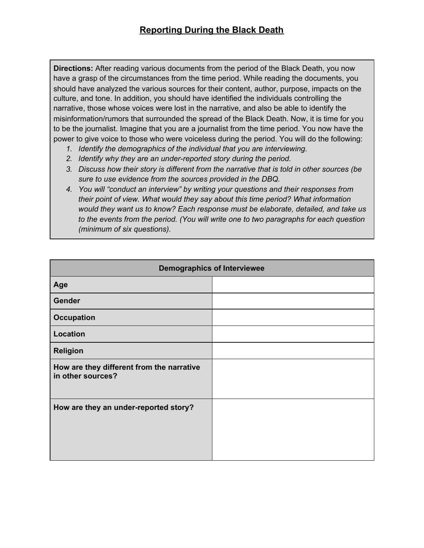**Directions:** After reading various documents from the period of the Black Death, you now have a grasp of the circumstances from the time period. While reading the documents, you should have analyzed the various sources for their content, author, purpose, impacts on the culture, and tone. In addition, you should have identified the individuals controlling the narrative, those whose voices were lost in the narrative, and also be able to identify the misinformation/rumors that surrounded the spread of the Black Death. Now, it is time for you to be the journalist. Imagine that you are a journalist from the time period. You now have the power to give voice to those who were voiceless during the period. You will do the following:

- *1. Identify the demographics of the individual that you are interviewing.*
- *2. Identify why they are an under-reported story during the period.*
- *3. Discuss how their story is different from the narrative that is told in other sources (be sure to use evidence from the sources provided in the DBQ.*
- *4. You will "conduct an interview" by writing your questions and their responses from their point of view. What would they say about this time period? What information would they want us to know? Each response must be elaborate, detailed, and take us to the events from the period. (You will write one to two paragraphs for each question (minimum of six questions).*

| <b>Demographics of Interviewee</b>                             |  |
|----------------------------------------------------------------|--|
| Age                                                            |  |
| <b>Gender</b>                                                  |  |
| <b>Occupation</b>                                              |  |
| Location                                                       |  |
| <b>Religion</b>                                                |  |
| How are they different from the narrative<br>in other sources? |  |
| How are they an under-reported story?                          |  |